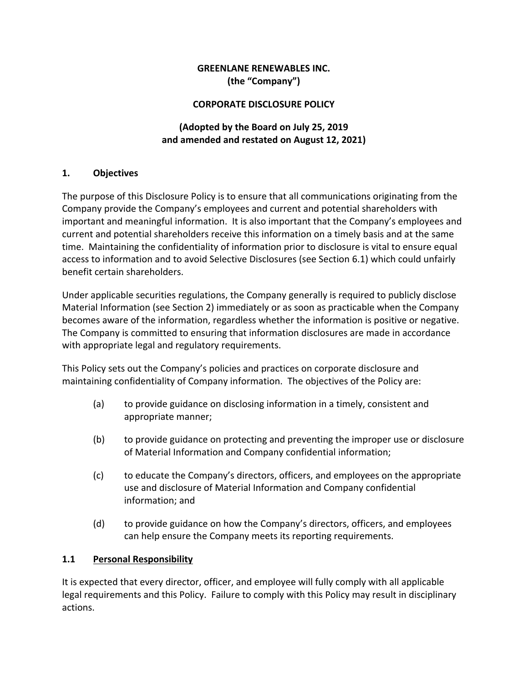### **GREENLANE RENEWABLES INC. (the "Company")**

#### **CORPORATE DISCLOSURE POLICY**

### **(Adopted by the Board on July 25, 2019 and amended and restated on August 12, 2021)**

#### **1. Objectives**

The purpose of this Disclosure Policy is to ensure that all communications originating from the Company provide the Company's employees and current and potential shareholders with important and meaningful information. It is also important that the Company's employees and current and potential shareholders receive this information on a timely basis and at the same time. Maintaining the confidentiality of information prior to disclosure is vital to ensure equal access to information and to avoid Selective Disclosures (see Section 6.1) which could unfairly benefit certain shareholders.

Under applicable securities regulations, the Company generally is required to publicly disclose Material Information (see Section [2\)](#page-2-0) immediately or as soon as practicable when the Company becomes aware of the information, regardless whether the information is positive or negative. The Company is committed to ensuring that information disclosures are made in accordance with appropriate legal and regulatory requirements.

This Policy sets out the Company's policies and practices on corporate disclosure and maintaining confidentiality of Company information. The objectives of the Policy are:

- (a) to provide guidance on disclosing information in a timely, consistent and appropriate manner;
- (b) to provide guidance on protecting and preventing the improper use or disclosure of Material Information and Company confidential information;
- (c) to educate the Company's directors, officers, and employees on the appropriate use and disclosure of Material Information and Company confidential information; and
- (d) to provide guidance on how the Company's directors, officers, and employees can help ensure the Company meets its reporting requirements.

#### **1.1 Personal Responsibility**

It is expected that every director, officer, and employee will fully comply with all applicable legal requirements and this Policy. Failure to comply with this Policy may result in disciplinary actions.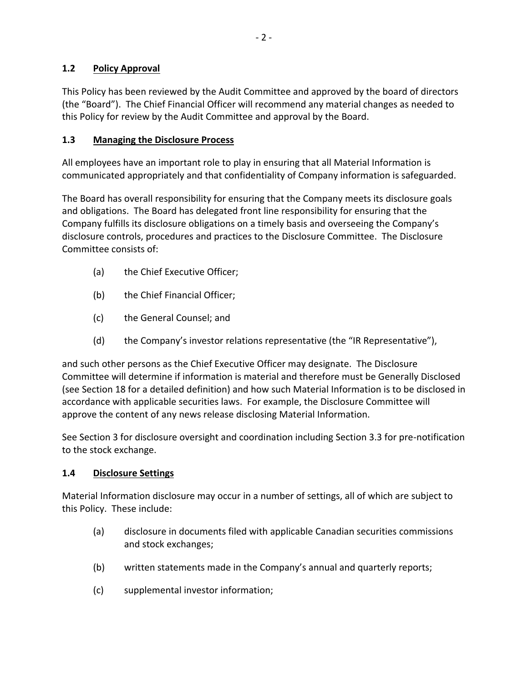### **1.2 Policy Approval**

This Policy has been reviewed by the Audit Committee and approved by the board of directors (the "Board"). The Chief Financial Officer will recommend any material changes as needed to this Policy for review by the Audit Committee and approval by the Board.

### **1.3 Managing the Disclosure Process**

All employees have an important role to play in ensuring that all Material Information is communicated appropriately and that confidentiality of Company information is safeguarded.

The Board has overall responsibility for ensuring that the Company meets its disclosure goals and obligations. The Board has delegated front line responsibility for ensuring that the Company fulfills its disclosure obligations on a timely basis and overseeing the Company's disclosure controls, procedures and practices to the Disclosure Committee. The Disclosure Committee consists of:

- (a) the Chief Executive Officer;
- (b) the Chief Financial Officer;
- (c) the General Counsel; and
- (d) the Company's investor relations representative (the "IR Representative"),

and such other persons as the Chief Executive Officer may designate. The Disclosure Committee will determine if information is material and therefore must be Generally Disclosed (see Section [18](#page-12-0) for a detailed definition) and how such Material Information is to be disclosed in accordance with applicable securities laws. For example, the Disclosure Committee will approve the content of any news release disclosing Material Information.

See Section 3 for disclosure oversight and coordination including Section 3.3 for pre-notification to the stock exchange.

### **1.4 Disclosure Settings**

Material Information disclosure may occur in a number of settings, all of which are subject to this Policy. These include:

- (a) disclosure in documents filed with applicable Canadian securities commissions and stock exchanges;
- (b) written statements made in the Company's annual and quarterly reports;
- (c) supplemental investor information;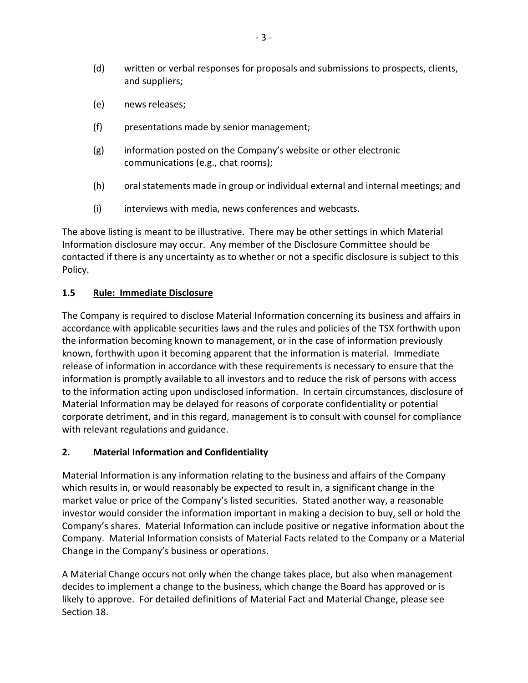- (d) written or verbal responses for proposals and submissions to prospects, clients, and suppliers;
- (e) news releases;
- (f) presentations made by senior management;
- (g) information posted on the Company's website or other electronic communications (e.g., chat rooms);
- (h) oral statements made in group or individual external and internal meetings; and
- (i) interviews with media, news conferences and webcasts.

The above listing is meant to be illustrative. There may be other settings in which Material Information disclosure may occur. Any member of the Disclosure Committee should be contacted if there is any uncertainty as to whether or not a specific disclosure is subject to this Policy.

#### **1.5 Rule: Immediate Disclosure**

The Company is required to disclose Material Information concerning its business and affairs in accordance with applicable securities laws and the rules and policies of the TSX forthwith upon the information becoming known to management, or in the case of information previously known, forthwith upon it becoming apparent that the information is material. Immediate release of information in accordance with these requirements is necessary to ensure that the information is promptly available to all investors and to reduce the risk of persons with access to the information acting upon undisclosed information. In certain circumstances, disclosure of Material Information may be delayed for reasons of corporate confidentiality or potential corporate detriment, and in this regard, management is to consult with counsel for compliance with relevant regulations and guidance.

#### <span id="page-2-0"></span>**2. Material Information and Confidentiality**

Material Information is any information relating to the business and affairs of the Company which results in, or would reasonably be expected to result in, a significant change in the market value or price of the Company's listed securities. Stated another way, a reasonable investor would consider the information important in making a decision to buy, sell or hold the Company's shares. Material Information can include positive or negative information about the Company. Material Information consists of Material Facts related to the Company or a Material Change in the Company's business or operations.

A Material Change occurs not only when the change takes place, but also when management decides to implement a change to the business, which change the Board has approved or is likely to approve. For detailed definitions of Material Fact and Material Change, please see Section [18.](#page-12-0)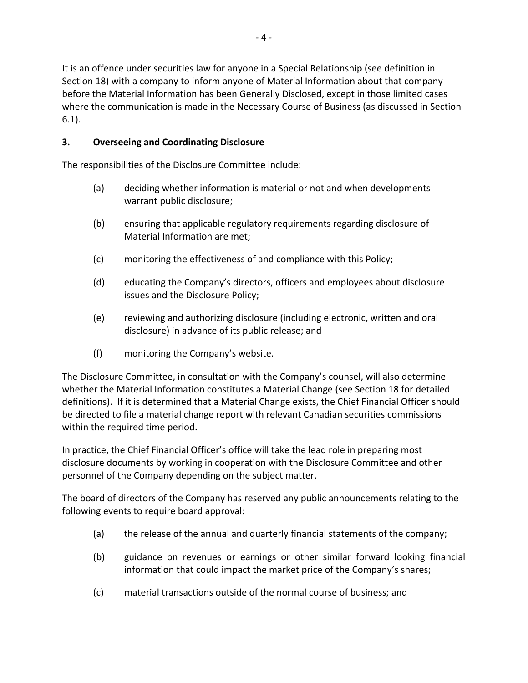It is an offence under securities law for anyone in a Special Relationship (see definition in Section [18\)](#page-12-0) with a company to inform anyone of Material Information about that company before the Material Information has been Generally Disclosed, except in those limited cases where the communication is made in the Necessary Course of Business (as discussed in Section 6.1).

### **3. Overseeing and Coordinating Disclosure**

The responsibilities of the Disclosure Committee include:

- (a) deciding whether information is material or not and when developments warrant public disclosure;
- (b) ensuring that applicable regulatory requirements regarding disclosure of Material Information are met;
- (c) monitoring the effectiveness of and compliance with this Policy;
- (d) educating the Company's directors, officers and employees about disclosure issues and the Disclosure Policy;
- (e) reviewing and authorizing disclosure (including electronic, written and oral disclosure) in advance of its public release; and
- (f) monitoring the Company's website.

The Disclosure Committee, in consultation with the Company's counsel, will also determine whether the Material Information constitutes a Material Change (see Section [18](#page-12-0) for detailed definitions). If it is determined that a Material Change exists, the Chief Financial Officer should be directed to file a material change report with relevant Canadian securities commissions within the required time period.

In practice, the Chief Financial Officer's office will take the lead role in preparing most disclosure documents by working in cooperation with the Disclosure Committee and other personnel of the Company depending on the subject matter.

The board of directors of the Company has reserved any public announcements relating to the following events to require board approval:

- (a) the release of the annual and quarterly financial statements of the company;
- (b) guidance on revenues or earnings or other similar forward looking financial information that could impact the market price of the Company's shares;
- (c) material transactions outside of the normal course of business; and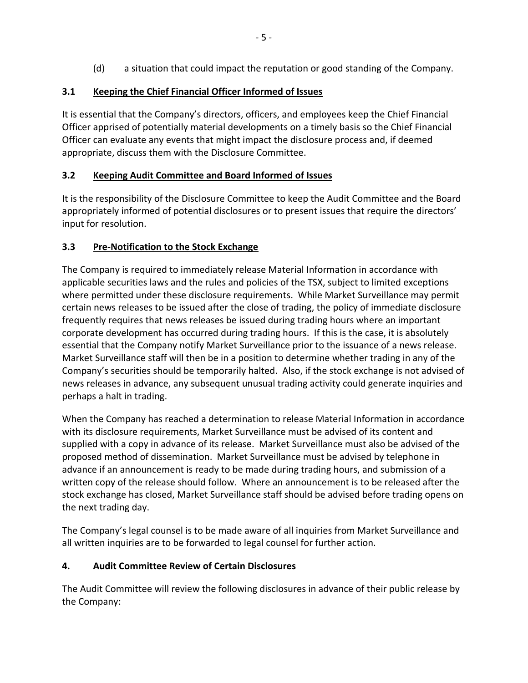(d) a situation that could impact the reputation or good standing of the Company.

## **3.1 Keeping the Chief Financial Officer Informed of Issues**

It is essential that the Company's directors, officers, and employees keep the Chief Financial Officer apprised of potentially material developments on a timely basis so the Chief Financial Officer can evaluate any events that might impact the disclosure process and, if deemed appropriate, discuss them with the Disclosure Committee.

# **3.2 Keeping Audit Committee and Board Informed of Issues**

It is the responsibility of the Disclosure Committee to keep the Audit Committee and the Board appropriately informed of potential disclosures or to present issues that require the directors' input for resolution.

## **3.3 Pre-Notification to the Stock Exchange**

The Company is required to immediately release Material Information in accordance with applicable securities laws and the rules and policies of the TSX, subject to limited exceptions where permitted under these disclosure requirements. While Market Surveillance may permit certain news releases to be issued after the close of trading, the policy of immediate disclosure frequently requires that news releases be issued during trading hours where an important corporate development has occurred during trading hours. If this is the case, it is absolutely essential that the Company notify Market Surveillance prior to the issuance of a news release. Market Surveillance staff will then be in a position to determine whether trading in any of the Company's securities should be temporarily halted. Also, if the stock exchange is not advised of news releases in advance, any subsequent unusual trading activity could generate inquiries and perhaps a halt in trading.

When the Company has reached a determination to release Material Information in accordance with its disclosure requirements, Market Surveillance must be advised of its content and supplied with a copy in advance of its release. Market Surveillance must also be advised of the proposed method of dissemination. Market Surveillance must be advised by telephone in advance if an announcement is ready to be made during trading hours, and submission of a written copy of the release should follow. Where an announcement is to be released after the stock exchange has closed, Market Surveillance staff should be advised before trading opens on the next trading day.

The Company's legal counsel is to be made aware of all inquiries from Market Surveillance and all written inquiries are to be forwarded to legal counsel for further action.

## **4. Audit Committee Review of Certain Disclosures**

The Audit Committee will review the following disclosures in advance of their public release by the Company: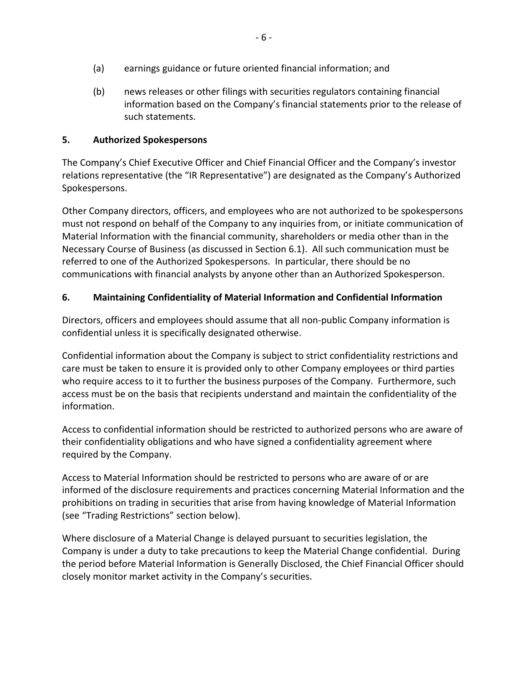- (a) earnings guidance or future oriented financial information; and
- (b) news releases or other filings with securities regulators containing financial information based on the Company's financial statements prior to the release of such statements.

### **5. Authorized Spokespersons**

The Company's Chief Executive Officer and Chief Financial Officer and the Company's investor relations representative (the "IR Representative") are designated as the Company's Authorized Spokespersons.

Other Company directors, officers, and employees who are not authorized to be spokespersons must not respond on behalf of the Company to any inquiries from, or initiate communication of Material Information with the financial community, shareholders or media other than in the Necessary Course of Business (as discussed in Section 6.1). All such communication must be referred to one of the Authorized Spokespersons. In particular, there should be no communications with financial analysts by anyone other than an Authorized Spokesperson.

### **6. Maintaining Confidentiality of Material Information and Confidential Information**

Directors, officers and employees should assume that all non-public Company information is confidential unless it is specifically designated otherwise.

Confidential information about the Company is subject to strict confidentiality restrictions and care must be taken to ensure it is provided only to other Company employees or third parties who require access to it to further the business purposes of the Company. Furthermore, such access must be on the basis that recipients understand and maintain the confidentiality of the information.

Access to confidential information should be restricted to authorized persons who are aware of their confidentiality obligations and who have signed a confidentiality agreement where required by the Company.

Access to Material Information should be restricted to persons who are aware of or are informed of the disclosure requirements and practices concerning Material Information and the prohibitions on trading in securities that arise from having knowledge of Material Information (see "Trading Restrictions" section below).

Where disclosure of a Material Change is delayed pursuant to securities legislation, the Company is under a duty to take precautions to keep the Material Change confidential. During the period before Material Information is Generally Disclosed, the Chief Financial Officer should closely monitor market activity in the Company's securities.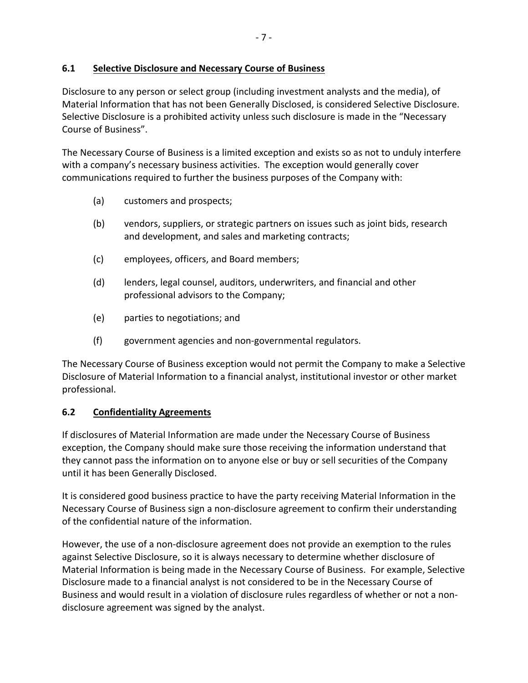### **6.1 Selective Disclosure and Necessary Course of Business**

Disclosure to any person or select group (including investment analysts and the media), of Material Information that has not been Generally Disclosed, is considered Selective Disclosure. Selective Disclosure is a prohibited activity unless such disclosure is made in the "Necessary Course of Business".

The Necessary Course of Business is a limited exception and exists so as not to unduly interfere with a company's necessary business activities. The exception would generally cover communications required to further the business purposes of the Company with:

- (a) customers and prospects;
- (b) vendors, suppliers, or strategic partners on issues such as joint bids, research and development, and sales and marketing contracts;
- (c) employees, officers, and Board members;
- (d) lenders, legal counsel, auditors, underwriters, and financial and other professional advisors to the Company;
- (e) parties to negotiations; and
- (f) government agencies and non-governmental regulators.

The Necessary Course of Business exception would not permit the Company to make a Selective Disclosure of Material Information to a financial analyst, institutional investor or other market professional.

#### **6.2 Confidentiality Agreements**

If disclosures of Material Information are made under the Necessary Course of Business exception, the Company should make sure those receiving the information understand that they cannot pass the information on to anyone else or buy or sell securities of the Company until it has been Generally Disclosed.

It is considered good business practice to have the party receiving Material Information in the Necessary Course of Business sign a non-disclosure agreement to confirm their understanding of the confidential nature of the information.

However, the use of a non-disclosure agreement does not provide an exemption to the rules against Selective Disclosure, so it is always necessary to determine whether disclosure of Material Information is being made in the Necessary Course of Business. For example, Selective Disclosure made to a financial analyst is not considered to be in the Necessary Course of Business and would result in a violation of disclosure rules regardless of whether or not a nondisclosure agreement was signed by the analyst.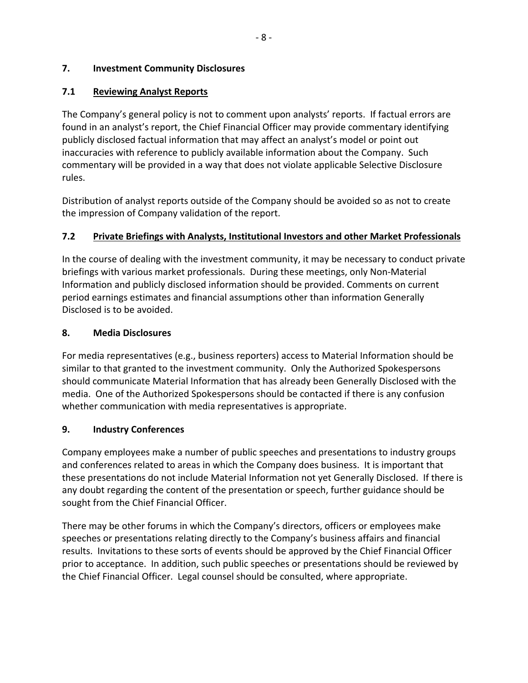#### **7. Investment Community Disclosures**

### **7.1 Reviewing Analyst Reports**

The Company's general policy is not to comment upon analysts' reports. If factual errors are found in an analyst's report, the Chief Financial Officer may provide commentary identifying publicly disclosed factual information that may affect an analyst's model or point out inaccuracies with reference to publicly available information about the Company. Such commentary will be provided in a way that does not violate applicable Selective Disclosure rules.

Distribution of analyst reports outside of the Company should be avoided so as not to create the impression of Company validation of the report.

### **7.2 Private Briefings with Analysts, Institutional Investors and other Market Professionals**

In the course of dealing with the investment community, it may be necessary to conduct private briefings with various market professionals. During these meetings, only Non-Material Information and publicly disclosed information should be provided. Comments on current period earnings estimates and financial assumptions other than information Generally Disclosed is to be avoided.

#### **8. Media Disclosures**

For media representatives (e.g., business reporters) access to Material Information should be similar to that granted to the investment community. Only the Authorized Spokespersons should communicate Material Information that has already been Generally Disclosed with the media. One of the Authorized Spokespersons should be contacted if there is any confusion whether communication with media representatives is appropriate.

#### **9. Industry Conferences**

Company employees make a number of public speeches and presentations to industry groups and conferences related to areas in which the Company does business. It is important that these presentations do not include Material Information not yet Generally Disclosed. If there is any doubt regarding the content of the presentation or speech, further guidance should be sought from the Chief Financial Officer.

There may be other forums in which the Company's directors, officers or employees make speeches or presentations relating directly to the Company's business affairs and financial results. Invitations to these sorts of events should be approved by the Chief Financial Officer prior to acceptance. In addition, such public speeches or presentations should be reviewed by the Chief Financial Officer. Legal counsel should be consulted, where appropriate.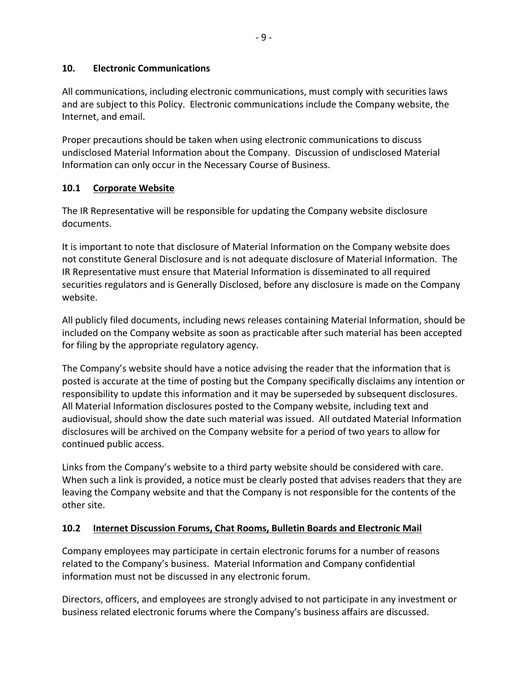#### **10. Electronic Communications**

All communications, including electronic communications, must comply with securities laws and are subject to this Policy. Electronic communications include the Company website, the Internet, and email.

Proper precautions should be taken when using electronic communications to discuss undisclosed Material Information about the Company. Discussion of undisclosed Material Information can only occur in the Necessary Course of Business.

#### **10.1 Corporate Website**

The IR Representative will be responsible for updating the Company website disclosure documents.

It is important to note that disclosure of Material Information on the Company website does not constitute General Disclosure and is not adequate disclosure of Material Information. The IR Representative must ensure that Material Information is disseminated to all required securities regulators and is Generally Disclosed, before any disclosure is made on the Company website.

All publicly filed documents, including news releases containing Material Information, should be included on the Company website as soon as practicable after such material has been accepted for filing by the appropriate regulatory agency.

The Company's website should have a notice advising the reader that the information that is posted is accurate at the time of posting but the Company specifically disclaims any intention or responsibility to update this information and it may be superseded by subsequent disclosures. All Material Information disclosures posted to the Company website, including text and audiovisual, should show the date such material was issued. All outdated Material Information disclosures will be archived on the Company website for a period of two years to allow for continued public access.

Links from the Company's website to a third party website should be considered with care. When such a link is provided, a notice must be clearly posted that advises readers that they are leaving the Company website and that the Company is not responsible for the contents of the other site.

#### **10.2 Internet Discussion Forums, Chat Rooms, Bulletin Boards and Electronic Mail**

Company employees may participate in certain electronic forums for a number of reasons related to the Company's business. Material Information and Company confidential information must not be discussed in any electronic forum.

Directors, officers, and employees are strongly advised to not participate in any investment or business related electronic forums where the Company's business affairs are discussed.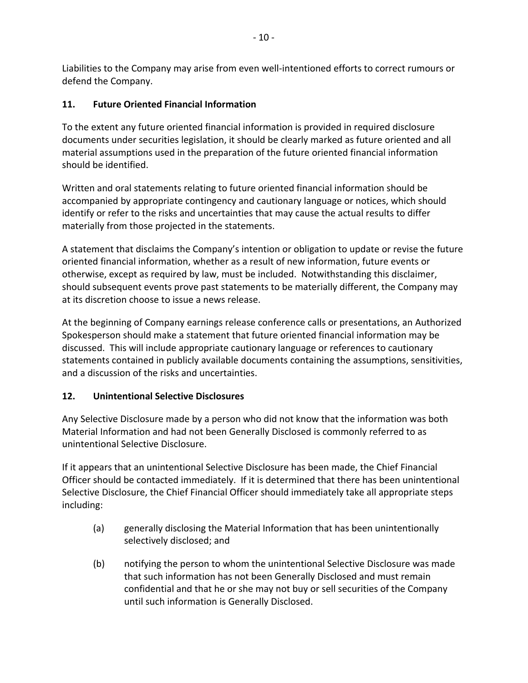Liabilities to the Company may arise from even well-intentioned efforts to correct rumours or defend the Company.

## **11. Future Oriented Financial Information**

To the extent any future oriented financial information is provided in required disclosure documents under securities legislation, it should be clearly marked as future oriented and all material assumptions used in the preparation of the future oriented financial information should be identified.

Written and oral statements relating to future oriented financial information should be accompanied by appropriate contingency and cautionary language or notices, which should identify or refer to the risks and uncertainties that may cause the actual results to differ materially from those projected in the statements.

A statement that disclaims the Company's intention or obligation to update or revise the future oriented financial information, whether as a result of new information, future events or otherwise, except as required by law, must be included. Notwithstanding this disclaimer, should subsequent events prove past statements to be materially different, the Company may at its discretion choose to issue a news release.

At the beginning of Company earnings release conference calls or presentations, an Authorized Spokesperson should make a statement that future oriented financial information may be discussed. This will include appropriate cautionary language or references to cautionary statements contained in publicly available documents containing the assumptions, sensitivities, and a discussion of the risks and uncertainties.

## **12. Unintentional Selective Disclosures**

Any Selective Disclosure made by a person who did not know that the information was both Material Information and had not been Generally Disclosed is commonly referred to as unintentional Selective Disclosure.

If it appears that an unintentional Selective Disclosure has been made, the Chief Financial Officer should be contacted immediately. If it is determined that there has been unintentional Selective Disclosure, the Chief Financial Officer should immediately take all appropriate steps including:

- (a) generally disclosing the Material Information that has been unintentionally selectively disclosed; and
- (b) notifying the person to whom the unintentional Selective Disclosure was made that such information has not been Generally Disclosed and must remain confidential and that he or she may not buy or sell securities of the Company until such information is Generally Disclosed.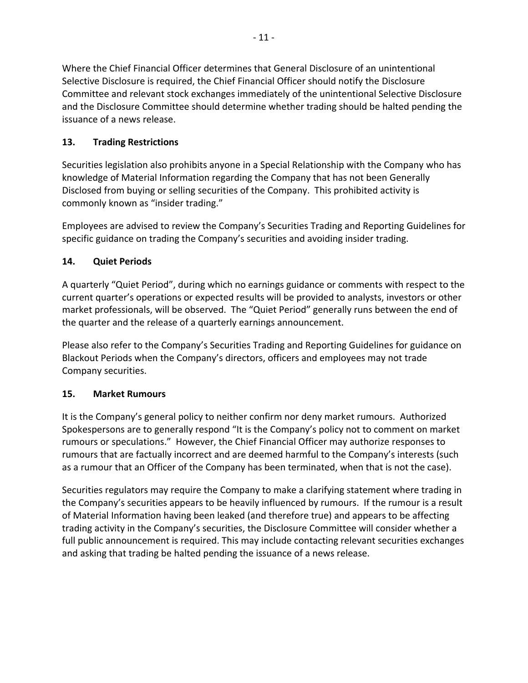Where the Chief Financial Officer determines that General Disclosure of an unintentional Selective Disclosure is required, the Chief Financial Officer should notify the Disclosure Committee and relevant stock exchanges immediately of the unintentional Selective Disclosure and the Disclosure Committee should determine whether trading should be halted pending the issuance of a news release.

## **13. Trading Restrictions**

Securities legislation also prohibits anyone in a Special Relationship with the Company who has knowledge of Material Information regarding the Company that has not been Generally Disclosed from buying or selling securities of the Company. This prohibited activity is commonly known as "insider trading."

Employees are advised to review the Company's Securities Trading and Reporting Guidelines for specific guidance on trading the Company's securities and avoiding insider trading.

## **14. Quiet Periods**

A quarterly "Quiet Period", during which no earnings guidance or comments with respect to the current quarter's operations or expected results will be provided to analysts, investors or other market professionals, will be observed. The "Quiet Period" generally runs between the end of the quarter and the release of a quarterly earnings announcement.

Please also refer to the Company's Securities Trading and Reporting Guidelines for guidance on Blackout Periods when the Company's directors, officers and employees may not trade Company securities.

## **15. Market Rumours**

It is the Company's general policy to neither confirm nor deny market rumours. Authorized Spokespersons are to generally respond "It is the Company's policy not to comment on market rumours or speculations." However, the Chief Financial Officer may authorize responses to rumours that are factually incorrect and are deemed harmful to the Company's interests (such as a rumour that an Officer of the Company has been terminated, when that is not the case).

Securities regulators may require the Company to make a clarifying statement where trading in the Company's securities appears to be heavily influenced by rumours. If the rumour is a result of Material Information having been leaked (and therefore true) and appears to be affecting trading activity in the Company's securities, the Disclosure Committee will consider whether a full public announcement is required. This may include contacting relevant securities exchanges and asking that trading be halted pending the issuance of a news release.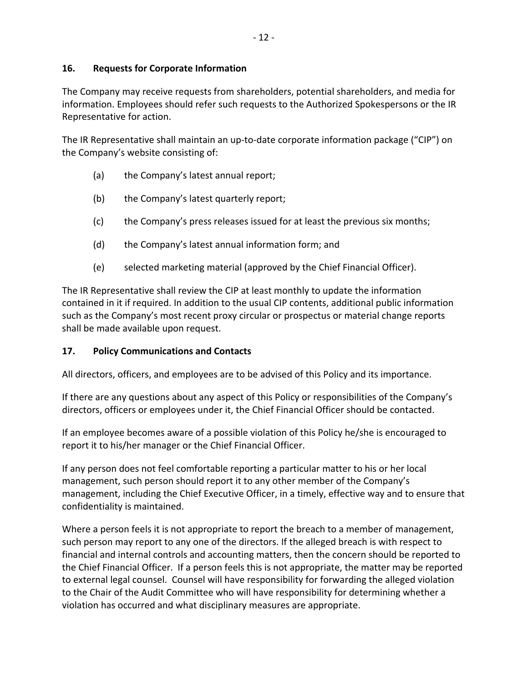#### **16. Requests for Corporate Information**

The Company may receive requests from shareholders, potential shareholders, and media for information. Employees should refer such requests to the Authorized Spokespersons or the IR Representative for action.

The IR Representative shall maintain an up-to-date corporate information package ("CIP") on the Company's website consisting of:

- (a) the Company's latest annual report;
- (b) the Company's latest quarterly report;
- (c) the Company's press releases issued for at least the previous six months;
- (d) the Company's latest annual information form; and
- (e) selected marketing material (approved by the Chief Financial Officer).

The IR Representative shall review the CIP at least monthly to update the information contained in it if required. In addition to the usual CIP contents, additional public information such as the Company's most recent proxy circular or prospectus or material change reports shall be made available upon request.

#### **17. Policy Communications and Contacts**

All directors, officers, and employees are to be advised of this Policy and its importance.

If there are any questions about any aspect of this Policy or responsibilities of the Company's directors, officers or employees under it, the Chief Financial Officer should be contacted.

If an employee becomes aware of a possible violation of this Policy he/she is encouraged to report it to his/her manager or the Chief Financial Officer.

If any person does not feel comfortable reporting a particular matter to his or her local management, such person should report it to any other member of the Company's management, including the Chief Executive Officer, in a timely, effective way and to ensure that confidentiality is maintained.

Where a person feels it is not appropriate to report the breach to a member of management, such person may report to any one of the directors. If the alleged breach is with respect to financial and internal controls and accounting matters, then the concern should be reported to the Chief Financial Officer. If a person feels this is not appropriate, the matter may be reported to external legal counsel. Counsel will have responsibility for forwarding the alleged violation to the Chair of the Audit Committee who will have responsibility for determining whether a violation has occurred and what disciplinary measures are appropriate.